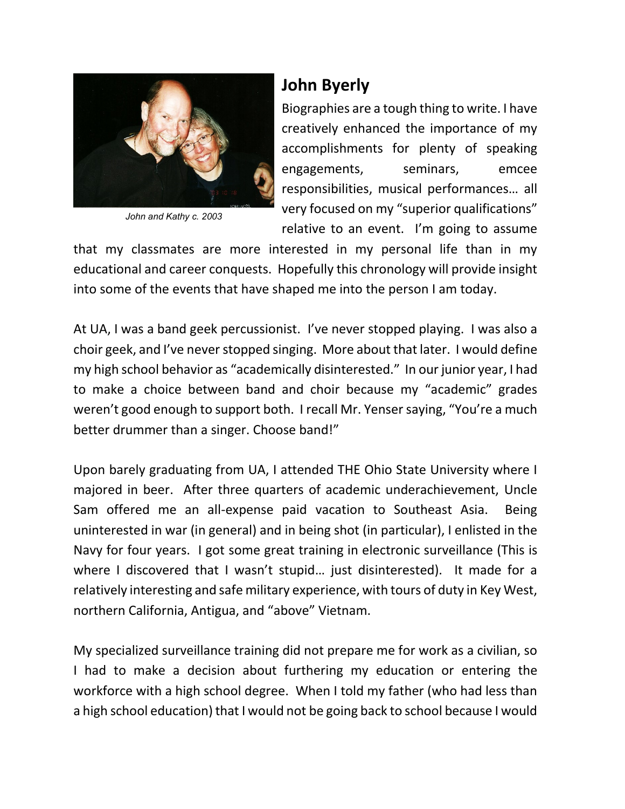

*John and Kathy c. 2003*

## **John Byerly**

Biographies are a tough thing to write. I have creatively enhanced the importance of my accomplishments for plenty of speaking engagements, seminars, emcee responsibilities, musical performances… all very focused on my "superior qualifications" relative to an event. I'm going to assume

that my classmates are more interested in my personal life than in my educational and career conquests. Hopefully this chronology will provide insight into some of the events that have shaped me into the person I am today.

At UA, I was a band geek percussionist. I've never stopped playing. I was also a choir geek, and I've never stopped singing. More about that later. I would define my high school behavior as "academically disinterested." In our junior year, I had to make a choice between band and choir because my "academic" grades weren't good enough to support both. I recall Mr. Yenser saying, "You're a much better drummer than a singer. Choose band!"

Upon barely graduating from UA, I attended THE Ohio State University where I majored in beer. After three quarters of academic underachievement, Uncle Sam offered me an all-expense paid vacation to Southeast Asia. Being uninterested in war (in general) and in being shot (in particular), I enlisted in the Navy for four years. I got some great training in electronic surveillance (This is where I discovered that I wasn't stupid... just disinterested). It made for a relatively interesting and safe military experience, with tours of duty in Key West, northern California, Antigua, and "above" Vietnam.

My specialized surveillance training did not prepare me for work as a civilian, so I had to make a decision about furthering my education or entering the workforce with a high school degree. When I told my father (who had less than a high school education) that I would not be going back to school because I would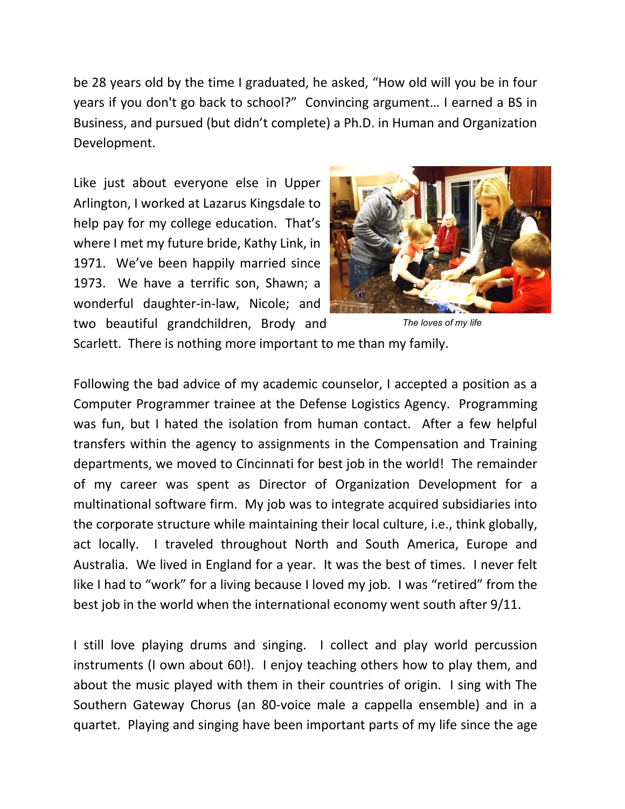be 28 years old by the time I graduated, he asked, "How old will you be in four years if you don't go back to school?" Convincing argument… I earned a BS in Business, and pursued (but didn't complete) a Ph.D. in Human and Organization Development.

Like just about everyone else in Upper Arlington, I worked at Lazarus Kingsdale to help pay for my college education. That's where I met my future bride, Kathy Link, in 1971. We've been happily married since 1973. We have a terrific son, Shawn; a wonderful daughter-in-law, Nicole; and two beautiful grandchildren, Brody and



*The loves of my life*

Scarlett. There is nothing more important to me than my family.

Following the bad advice of my academic counselor, I accepted a position as a Computer Programmer trainee at the Defense Logistics Agency. Programming was fun, but I hated the isolation from human contact. After a few helpful transfers within the agency to assignments in the Compensation and Training departments, we moved to Cincinnati for best job in the world! The remainder of my career was spent as Director of Organization Development for a multinational software firm. My job was to integrate acquired subsidiaries into the corporate structure while maintaining their local culture, i.e., think globally, act locally. I traveled throughout North and South America, Europe and Australia. We lived in England for a year. It was the best of times. I never felt like I had to "work" for a living because I loved my job. I was "retired" from the best job in the world when the international economy went south after 9/11.

I still love playing drums and singing. I collect and play world percussion instruments (I own about 60!). I enjoy teaching others how to play them, and about the music played with them in their countries of origin. I sing with The Southern Gateway Chorus (an 80-voice male a cappella ensemble) and in a quartet. Playing and singing have been important parts of my life since the age